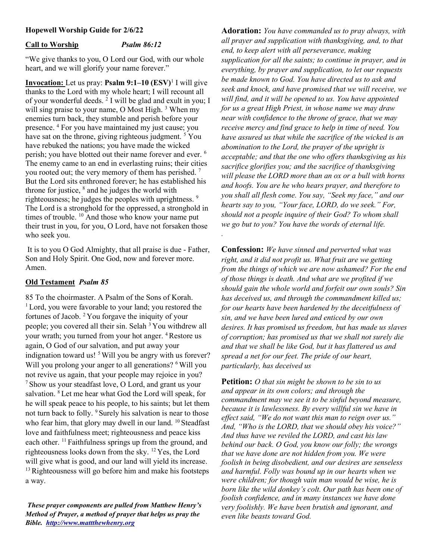# Hopewell Worship Guide for 2/6/22

### Call to Worship Psalm 86:12

"We give thanks to you, O Lord our God, with our whole heart, and we will glorify your name forever."

**Invocation:** Let us pray: **Psalm 9:1–10**  $(ESV)^1$  I will give thanks to the Lord with my whole heart; I will recount all of your wonderful deeds. <sup>2</sup> I will be glad and exult in you; I will sing praise to your name, O Most High.<sup>3</sup> When my enemies turn back, they stumble and perish before your presence. <sup>4</sup> For you have maintained my just cause; you have sat on the throne, giving righteous judgment.<sup>5</sup> You have rebuked the nations; you have made the wicked perish; you have blotted out their name forever and ever. <sup>6</sup> The enemy came to an end in everlasting ruins; their cities you rooted out; the very memory of them has perished.<sup>7</sup> But the Lord sits enthroned forever; he has established his throne for justice,  $\delta$  and he judges the world with righteousness; he judges the peoples with uprightness. <sup>9</sup> The Lord is a stronghold for the oppressed, a stronghold in times of trouble. <sup>10</sup> And those who know your name put their trust in you, for you, O Lord, have not forsaken those who seek you.

 It is to you O God Almighty, that all praise is due - Father, Son and Holy Spirit. One God, now and forever more. Amen.

### Old Testament Psalm 85

85 To the choirmaster. A Psalm of the Sons of Korah. <sup>1</sup> Lord, you were favorable to your land; you restored the fortunes of Jacob.  $2$  You forgave the iniquity of your people; you covered all their sin. Selah <sup>3</sup>You withdrew all your wrath; you turned from your hot anger. <sup>4</sup>Restore us again, O God of our salvation, and put away your indignation toward us!<sup>5</sup> Will you be angry with us forever? Will you prolong your anger to all generations? <sup>6</sup> Will you not revive us again, that your people may rejoice in you? <sup>7</sup>Show us your steadfast love, O Lord, and grant us your salvation. <sup>8</sup> Let me hear what God the Lord will speak, for he will speak peace to his people, to his saints; but let them not turn back to folly. <sup>9</sup> Surely his salvation is near to those who fear him, that glory may dwell in our land. <sup>10</sup> Steadfast love and faithfulness meet; righteousness and peace kiss each other. <sup>11</sup> Faithfulness springs up from the ground, and righteousness looks down from the sky. <sup>12</sup>Yes, the Lord will give what is good, and our land will yield its increase.  $13$  Righteousness will go before him and make his footsteps a way.

These prayer components are pulled from Matthew Henry's Method of Prayer, a method of prayer that helps us pray the Bible. http://www.mattthewhenry.org

Adoration: You have commanded us to pray always, with all prayer and supplication with thanksgiving, and, to that end, to keep alert with all perseverance, making supplication for all the saints; to continue in prayer, and in everything, by prayer and supplication, to let our requests be made known to God. You have directed us to ask and seek and knock, and have promised that we will receive, we will find, and it will be opened to us. You have appointed for us a great High Priest, in whose name we may draw near with confidence to the throne of grace, that we may receive mercy and find grace to help in time of need. You have assured us that while the sacrifice of the wicked is an abomination to the Lord, the prayer of the upright is acceptable; and that the one who offers thanksgiving as his sacrifice glorifies you; and the sacrifice of thanksgiving will please the LORD more than an ox or a bull with horns and hoofs. You are he who hears prayer, and therefore to you shall all flesh come. You say, "Seek my face," and our hearts say to you, "Your face, LORD, do we seek." For, should not a people inquire of their God? To whom shall we go but to you? You have the words of eternal life.

**Confession:** We have sinned and perverted what was right, and it did not profit us. What fruit are we getting from the things of which we are now ashamed? For the end of those things is death. And what are we profited if we should gain the whole world and forfeit our own souls? Sin has deceived us, and through the commandment killed us; for our hearts have been hardened by the deceitfulness of sin, and we have been lured and enticed by our own desires. It has promised us freedom, but has made us slaves of corruption; has promised us that we shall not surely die and that we shall be like God, but it has flattered us and spread a net for our feet. The pride of our heart, particularly, has deceived us

.

**Petition:** O that sin might be shown to be sin to us and appear in its own colors; and through the commandment may we see it to be sinful beyond measure, because it is lawlessness. By every willful sin we have in effect said, "We do not want this man to reign over us." And, "Who is the LORD, that we should obey his voice?" And thus have we reviled the LORD, and cast his law behind our back. O God, you know our folly; the wrongs that we have done are not hidden from you. We were foolish in being disobedient, and our desires are senseless and harmful. Folly was bound up in our hearts when we were children; for though vain man would be wise, he is born like the wild donkey's colt. Our path has been one of foolish confidence, and in many instances we have done very foolishly. We have been brutish and ignorant, and even like beasts toward God.